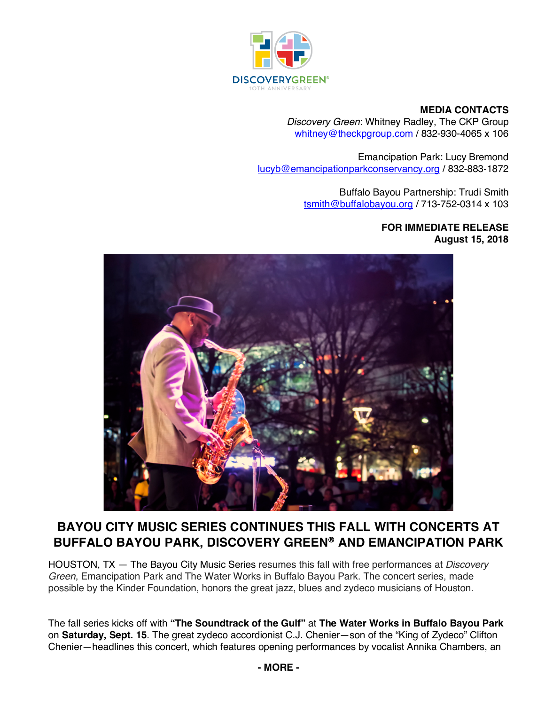

## **MEDIA CONTACTS**

*Discovery Green*: Whitney Radley, The CKP Group whitney@theckpgroup.com / 832-930-4065 x 106

Emancipation Park: Lucy Bremond lucyb@emancipationparkconservancy.org / 832-883-1872

> Buffalo Bayou Partnership: Trudi Smith tsmith@buffalobayou.org / 713-752-0314 x 103

> > **FOR IMMEDIATE RELEASE August 15, 2018**



# **BAYOU CITY MUSIC SERIES CONTINUES THIS FALL WITH CONCERTS AT BUFFALO BAYOU PARK, DISCOVERY GREEN**<sup>â</sup> **AND EMANCIPATION PARK**

HOUSTON, TX — The Bayou City Music Series resumes this fall with free performances at *Discovery Green*, Emancipation Park and The Water Works in Buffalo Bayou Park. The concert series, made possible by the Kinder Foundation, honors the great jazz, blues and zydeco musicians of Houston.

The fall series kicks off with **"The Soundtrack of the Gulf"** at **The Water Works in Buffalo Bayou Park** on **Saturday, Sept. 15**. The great zydeco accordionist C.J. Chenier—son of the "King of Zydeco" Clifton Chenier—headlines this concert, which features opening performances by vocalist Annika Chambers, an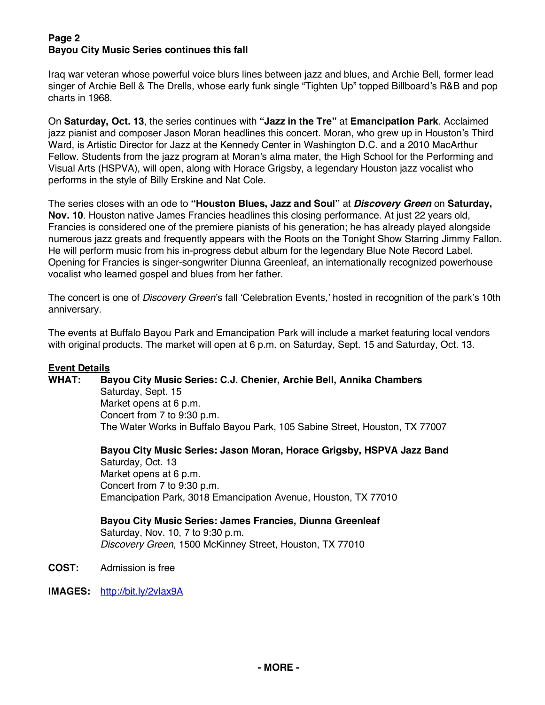## **Page 2 Bayou City Music Series continues this fall**

Iraq war veteran whose powerful voice blurs lines between jazz and blues, and Archie Bell, former lead singer of Archie Bell & The Drells, whose early funk single "Tighten Up" topped Billboard's R&B and pop charts in 1968.

On **Saturday, Oct. 13**, the series continues with **"Jazz in the Tre"** at **Emancipation Park**. Acclaimed jazz pianist and composer Jason Moran headlines this concert. Moran, who grew up in Houston's Third Ward, is Artistic Director for Jazz at the Kennedy Center in Washington D.C. and a 2010 MacArthur Fellow. Students from the jazz program at Moran's alma mater, the High School for the Performing and Visual Arts (HSPVA), will open, along with Horace Grigsby, a legendary Houston jazz vocalist who performs in the style of Billy Erskine and Nat Cole.

The series closes with an ode to **"Houston Blues, Jazz and Soul"** at *Discovery Green* on **Saturday, Nov. 10**. Houston native James Francies headlines this closing performance. At just 22 years old, Francies is considered one of the premiere pianists of his generation; he has already played alongside numerous jazz greats and frequently appears with the Roots on the Tonight Show Starring Jimmy Fallon. He will perform music from his in-progress debut album for the legendary Blue Note Record Label. Opening for Francies is singer-songwriter Diunna Greenleaf, an internationally recognized powerhouse vocalist who learned gospel and blues from her father.

The concert is one of *Discovery Green*'s fall 'Celebration Events,' hosted in recognition of the park's 10th anniversary.

The events at Buffalo Bayou Park and Emancipation Park will include a market featuring local vendors with original products. The market will open at 6 p.m. on Saturday, Sept. 15 and Saturday, Oct. 13.

#### **Event Details**

**WHAT: Bayou City Music Series: C.J. Chenier, Archie Bell, Annika Chambers**

Saturday, Sept. 15 Market opens at 6 p.m. Concert from 7 to 9:30 p.m. The Water Works in Buffalo Bayou Park, 105 Sabine Street, Houston, TX 77007

**Bayou City Music Series: Jason Moran, Horace Grigsby, HSPVA Jazz Band** Saturday, Oct. 13 Market opens at 6 p.m. Concert from 7 to 9:30 p.m. Emancipation Park, 3018 Emancipation Avenue, Houston, TX 77010

**Bayou City Music Series: James Francies, Diunna Greenleaf** Saturday, Nov. 10, 7 to 9:30 p.m. *Discovery Green*, 1500 McKinney Street, Houston, TX 77010

**COST:** Admission is free

**IMAGES:** http://bit.ly/2vIax9A